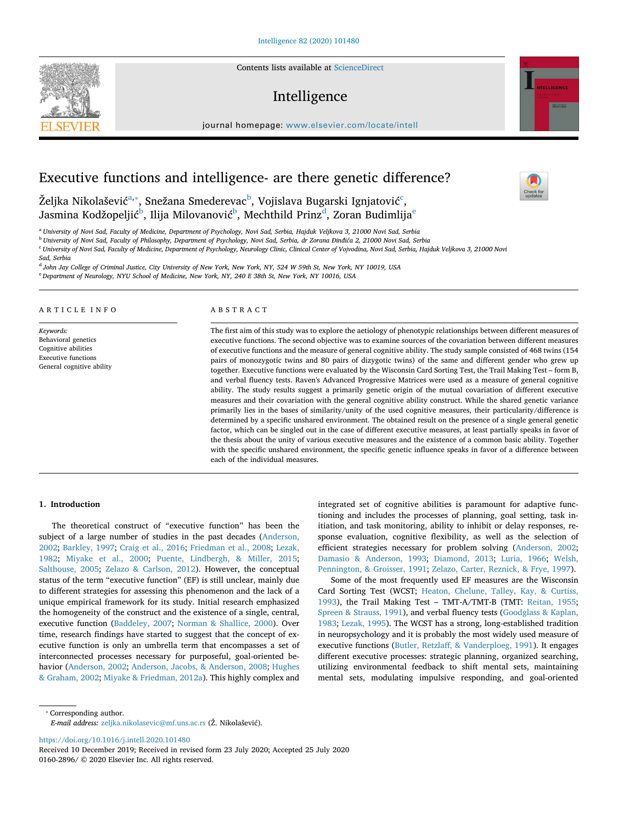Contents lists available at ScienceDirect

# Intelligence

journal homepage: www.elsevier.com/locate/intell

# Executive functions and intelligence- are there genetic difference?

Željka Nikolašević $^{\mathrm{a},*}$ , Snežana Smederevac $^{\mathrm{b}}$ , Vojislava Bugarski Ignjatović $^{\mathrm{c}}$ , Jasmina Kodžopeljić $^{\rm b}$ , Ilija Milovanović $^{\rm b}$ , Mechthild Prinz $^{\rm d}$ , Zoran Budimlija $^{\rm e}$ 

<sup>a</sup> *University of Novi Sad, Faculty of Medicine, Department of Psychology, Novi Sad, Serbia, Hajduk Veljkova 3, 21000 Novi Sad, Serbia*

<sup>b</sup> *University of Novi Sad, Faculty of Philosophy, Department of Psychology, Novi Sad, Serbia, dr Zorana* Đ*in*đ*i*ć*a 2, 21000 Novi Sad, Serbia*

<sup>c</sup> *University of Novi Sad, Faculty of Medicine, Department of Psychology, Neurology Clinic, Clinical Center of Vojvodina, Novi Sad, Serbia, Hajduk Veljkova 3, 21000 Novi*

*Sad, Serbia*

d *John Jay College of Criminal Justice, City University of New York, New York, NY, 524 W 59th St, New York, NY 10019, USA*

<sup>e</sup> *Department of Neurology, NYU School of Medicine, New York, NY, 240 E 38th St, New York, NY 10016, USA*

# ARTICLE INFO

*Keywords:* Behavioral genetics Cognitive abilities Executive functions General cognitive ability

# ABSTRACT

The first aim of this study was to explore the aetiology of phenotypic relationships between different measures of executive functions. The second objective was to examine sources of the covariation between different measures of executive functions and the measure of general cognitive ability. The study sample consisted of 468 twins (154 pairs of monozygotic twins and 80 pairs of dizygotic twins) of the same and different gender who grew up together. Executive functions were evaluated by the Wisconsin Card Sorting Test, the Trail Making Test – form B, and verbal fluency tests. Raven's Advanced Progressive Matrices were used as a measure of general cognitive ability. The study results suggest a primarily genetic origin of the mutual covariation of different executive measures and their covariation with the general cognitive ability construct. While the shared genetic variance primarily lies in the bases of similarity/unity of the used cognitive measures, their particularity/difference is determined by a specific unshared environment. The obtained result on the presence of a single general genetic factor, which can be singled out in the case of different executive measures, at least partially speaks in favor of the thesis about the unity of various executive measures and the existence of a common basic ability. Together with the specific unshared environment, the specific genetic influence speaks in favor of a difference between each of the individual measures.

## 1. Introduction

The theoretical construct of "executive function" has been the subject of a large number of studies in the past decades (Anderson, 2002; Barkley, 1997; Craig et al., 2016; Friedman et al., 2008; Lezak, 1982; Miyake et al., 2000; Puente, Lindbergh, & Miller, 2015; Salthouse, 2005; Zelazo & Carlson, 2012). However, the conceptual status of the term "executive function" (EF) is still unclear, mainly due to different strategies for assessing this phenomenon and the lack of a unique empirical framework for its study. Initial research emphasized the homogeneity of the construct and the existence of a single, central, executive function (Baddeley, 2007; Norman & Shallice, 2000). Over time, research findings have started to suggest that the concept of executive function is only an umbrella term that encompasses a set of interconnected processes necessary for purposeful, goal-oriented behavior (Anderson, 2002; Anderson, Jacobs, & Anderson, 2008; Hughes & Graham, 2002; Miyake & Friedman, 2012a). This highly complex and integrated set of cognitive abilities is paramount for adaptive functioning and includes the processes of planning, goal setting, task initiation, and task monitoring, ability to inhibit or delay responses, response evaluation, cognitive flexibility, as well as the selection of efficient strategies necessary for problem solving (Anderson, 2002; Damasio & Anderson, 1993; Diamond, 2013; Luria, 1966; Welsh, Pennington, & Groisser, 1991; Zelazo, Carter, Reznick, & Frye, 1997).

Some of the most frequently used EF measures are the Wisconsin Card Sorting Test (WCST; Heaton, Chelune, Talley, Kay, & Curtiss, 1993), the Trail Making Test – TMT-A/TMT-B (TMT: Reitan, 1955; Spreen & Strauss, 1991), and verbal fluency tests (Goodglass & Kaplan, 1983; Lezak, 1995). The WCST has a strong, long-established tradition in neuropsychology and it is probably the most widely used measure of executive functions (Butler, Retzlaff, & Vanderploeg, 1991). It engages different executive processes: strategic planning, organized searching, utilizing environmental feedback to shift mental sets, maintaining mental sets, modulating impulsive responding, and goal-oriented

⁎ Corresponding author. *E-mail address:* zeljka.nikolasevic@mf.uns.ac.rs (Ž. Nikolašević).

https://doi.org/10.1016/j.intell.2020.101480

Received 10 December 2019; Received in revised form 23 July 2020; Accepted 25 July 2020 0160-2896/ © 2020 Elsevier Inc. All rights reserved.





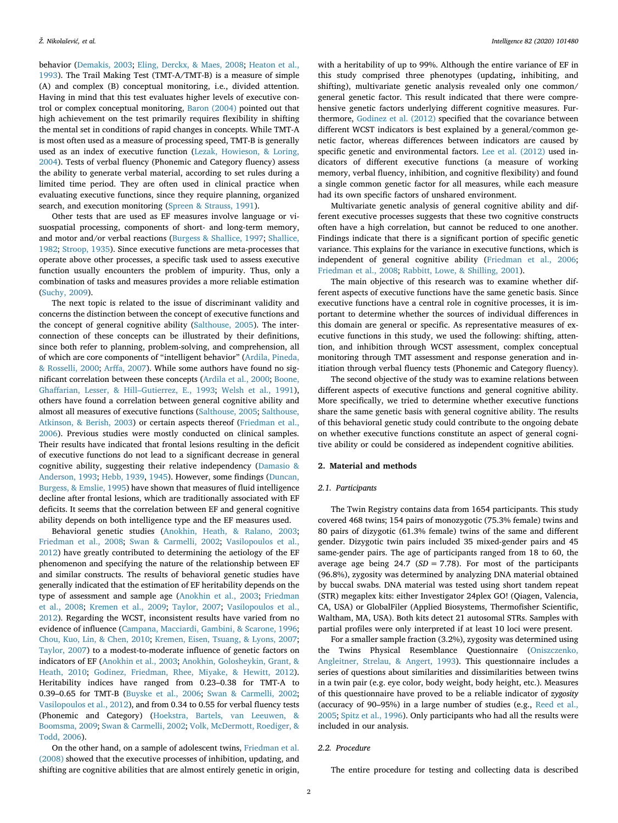behavior (Demakis, 2003; Eling, Derckx, & Maes, 2008; Heaton et al., 1993). The Trail Making Test (TMT-A/TMT-B) is a measure of simple (A) and complex (B) conceptual monitoring, i.e., divided attention. Having in mind that this test evaluates higher levels of executive control or complex conceptual monitoring, Baron (2004) pointed out that high achievement on the test primarily requires flexibility in shifting the mental set in conditions of rapid changes in concepts. While TMT-A is most often used as a measure of processing speed, TMT-B is generally used as an index of executive function (Lezak, Howieson, & Loring, 2004). Tests of verbal fluency (Phonemic and Category fluency) assess the ability to generate verbal material, according to set rules during a limited time period. They are often used in clinical practice when evaluating executive functions, since they require planning, organized search, and execution monitoring (Spreen & Strauss, 1991).

Other tests that are used as EF measures involve language or visuospatial processing, components of short- and long-term memory, and motor and/or verbal reactions (Burgess & Shallice, 1997; Shallice, 1982; Stroop, 1935). Since executive functions are meta-processes that operate above other processes, a specific task used to assess executive function usually encounters the problem of impurity. Thus, only a combination of tasks and measures provides a more reliable estimation (Suchy, 2009).

The next topic is related to the issue of discriminant validity and concerns the distinction between the concept of executive functions and the concept of general cognitive ability (Salthouse, 2005). The interconnection of these concepts can be illustrated by their definitions, since both refer to planning, problem-solving, and comprehension, all of which are core components of "intelligent behavior" (Ardila, Pineda, & Rosselli, 2000; Arffa, 2007). While some authors have found no significant correlation between these concepts (Ardila et al., 2000; Boone, Ghaffarian, Lesser, & Hill–Gutierrez, E., 1993; Welsh et al., 1991), others have found a correlation between general cognitive ability and almost all measures of executive functions (Salthouse, 2005; Salthouse, Atkinson, & Berish, 2003) or certain aspects thereof (Friedman et al., 2006). Previous studies were mostly conducted on clinical samples. Their results have indicated that frontal lesions resulting in the deficit of executive functions do not lead to a significant decrease in general cognitive ability, suggesting their relative independency (Damasio & Anderson, 1993; Hebb, 1939, 1945). However, some findings (Duncan, Burgess, & Emslie, 1995) have shown that measures of fluid intelligence decline after frontal lesions, which are traditionally associated with EF deficits. It seems that the correlation between EF and general cognitive ability depends on both intelligence type and the EF measures used.

Behavioral genetic studies (Anokhin, Heath, & Ralano, 2003; Friedman et al., 2008; Swan & Carmelli, 2002; Vasilopoulos et al., 2012) have greatly contributed to determining the aetiology of the EF phenomenon and specifying the nature of the relationship between EF and similar constructs. The results of behavioral genetic studies have generally indicated that the estimation of EF heritability depends on the type of assessment and sample age (Anokhin et al., 2003; Friedman et al., 2008; Kremen et al., 2009; Taylor, 2007; Vasilopoulos et al., 2012). Regarding the WCST, inconsistent results have varied from no evidence of influence (Campana, Macciardi, Gambini, & Scarone, 1996; Chou, Kuo, Lin, & Chen, 2010; Kremen, Eisen, Tsuang, & Lyons, 2007; Taylor, 2007) to a modest-to-moderate influence of genetic factors on indicators of EF (Anokhin et al., 2003; Anokhin, Golosheykin, Grant, & Heath, 2010; Godinez, Friedman, Rhee, Miyake, & Hewitt, 2012). Heritability indices have ranged from 0.23–0.38 for TMT-A to 0.39–0.65 for TMT-B (Buyske et al., 2006; Swan & Carmelli, 2002; Vasilopoulos et al., 2012), and from 0.34 to 0.55 for verbal fluency tests (Phonemic and Category) (Hoekstra, Bartels, van Leeuwen, & Boomsma, 2009; Swan & Carmelli, 2002; Volk, McDermott, Roediger, & Todd, 2006).

On the other hand, on a sample of adolescent twins, Friedman et al. (2008) showed that the executive processes of inhibition, updating, and shifting are cognitive abilities that are almost entirely genetic in origin,

with a heritability of up to 99%. Although the entire variance of EF in this study comprised three phenotypes (updating, inhibiting, and shifting), multivariate genetic analysis revealed only one common/ general genetic factor. This result indicated that there were comprehensive genetic factors underlying different cognitive measures. Furthermore, Godinez et al. (2012) specified that the covariance between different WCST indicators is best explained by a general/common genetic factor, whereas differences between indicators are caused by specific genetic and environmental factors. Lee et al. (2012) used indicators of different executive functions (a measure of working memory, verbal fluency, inhibition, and cognitive flexibility) and found a single common genetic factor for all measures, while each measure had its own specific factors of unshared environment.

Multivariate genetic analysis of general cognitive ability and different executive processes suggests that these two cognitive constructs often have a high correlation, but cannot be reduced to one another. Findings indicate that there is a significant portion of specific genetic variance. This explains for the variance in executive functions, which is independent of general cognitive ability (Friedman et al., 2006; Friedman et al., 2008; Rabbitt, Lowe, & Shilling, 2001).

The main objective of this research was to examine whether different aspects of executive functions have the same genetic basis. Since executive functions have a central role in cognitive processes, it is important to determine whether the sources of individual differences in this domain are general or specific. As representative measures of executive functions in this study, we used the following: shifting, attention, and inhibition through WCST assessment, complex conceptual monitoring through TMT assessment and response generation and initiation through verbal fluency tests (Phonemic and Category fluency).

The second objective of the study was to examine relations between different aspects of executive functions and general cognitive ability. More specifically, we tried to determine whether executive functions share the same genetic basis with general cognitive ability. The results of this behavioral genetic study could contribute to the ongoing debate on whether executive functions constitute an aspect of general cognitive ability or could be considered as independent cognitive abilities.

### 2. Material and methods

#### *2.1. Participants*

The Twin Registry contains data from 1654 participants. This study covered 468 twins; 154 pairs of monozygotic (75.3% female) twins and 80 pairs of dizygotic (61.3% female) twins of the same and different gender. Dizygotic twin pairs included 35 mixed-gender pairs and 45 same-gender pairs. The age of participants ranged from 18 to 60, the average age being  $24.7$  ( $SD = 7.78$ ). For most of the participants (96.8%), zygosity was determined by analyzing DNA material obtained by buccal swabs. DNA material was tested using short tandem repeat (STR) megaplex kits: either Investigator 24plex GO! (Qiagen, Valencia, CA, USA) or GlobalFiler (Applied Biosystems, Thermofisher Scientific, Waltham, MA, USA). Both kits detect 21 autosomal STRs. Samples with partial profiles were only interpreted if at least 10 loci were present.

For a smaller sample fraction (3.2%), zygosity was determined using the Twins Physical Resemblance Questionnaire (Oniszczenko, Angleitner, Strelau, & Angert, 1993). This questionnaire includes a series of questions about similarities and dissimilarities between twins in a twin pair (e.g. eye color, body weight, body height, etc.). Measures of this questionnaire have proved to be a reliable indicator of *zygosity* (accuracy of 90–95%) in a large number of studies (e.g., Reed et al., 2005; Spitz et al., 1996). Only participants who had all the results were included in our analysis.

#### *2.2. Procedure*

The entire procedure for testing and collecting data is described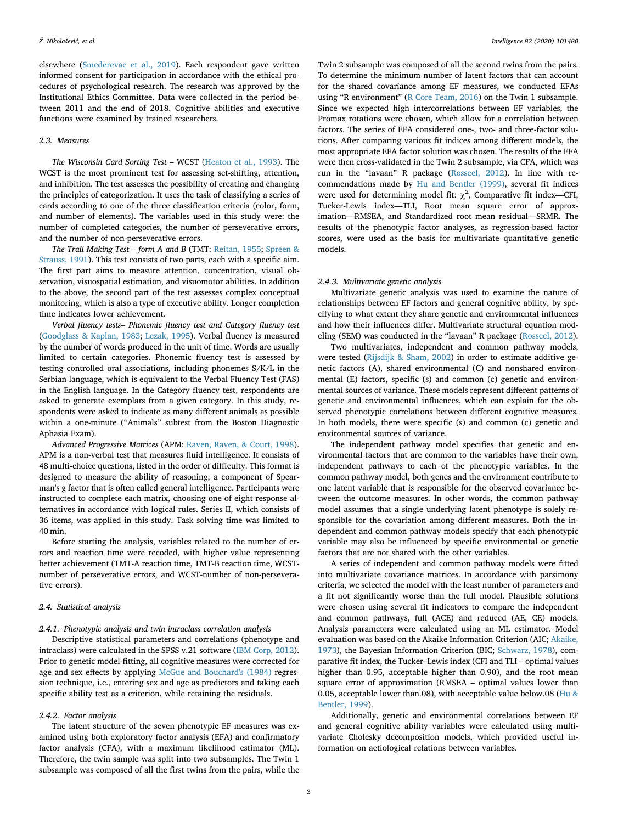elsewhere (Smederevac et al., 2019). Each respondent gave written informed consent for participation in accordance with the ethical procedures of psychological research. The research was approved by the Institutional Ethics Committee. Data were collected in the period between 2011 and the end of 2018. Cognitive abilities and executive functions were examined by trained researchers.

# *2.3. Measures*

*The Wisconsin Card Sorting Test* – WCST (Heaton et al., 1993). The WCST is the most prominent test for assessing set-shifting, attention, and inhibition. The test assesses the possibility of creating and changing the principles of categorization. It uses the task of classifying a series of cards according to one of the three classification criteria (color, form, and number of elements). The variables used in this study were: the number of completed categories, the number of perseverative errors, and the number of non-perseverative errors.

*The Trail Making Test* – *form A and B* (TMT: Reitan, 1955; Spreen & Strauss, 1991). This test consists of two parts, each with a specific aim. The first part aims to measure attention, concentration, visual observation, visuospatial estimation, and visuomotor abilities. In addition to the above, the second part of the test assesses complex conceptual monitoring, which is also a type of executive ability. Longer completion time indicates lower achievement.

*Verbal* fl*uency tests*– *Phonemic* fl*uency test and Category* fl*uency test* (Goodglass & Kaplan, 1983; Lezak, 1995). Verbal fluency is measured by the number of words produced in the unit of time. Words are usually limited to certain categories. Phonemic fluency test is assessed by testing controlled oral associations, including phonemes S/K/L in the Serbian language, which is equivalent to the Verbal Fluency Test (FAS) in the English language. In the Category fluency test, respondents are asked to generate exemplars from a given category. In this study, respondents were asked to indicate as many different animals as possible within a one-minute ("Animals" subtest from the Boston Diagnostic Aphasia Exam).

*Advanced Progressive Matrices* (APM: Raven, Raven, & Court, 1998). APM is a non-verbal test that measures fluid intelligence. It consists of 48 multi-choice questions, listed in the order of difficulty. This format is designed to measure the ability of reasoning; a component of Spearman's g factor that is often called general intelligence. Participants were instructed to complete each matrix, choosing one of eight response alternatives in accordance with logical rules. Series II, which consists of 36 items, was applied in this study. Task solving time was limited to 40 min.

Before starting the analysis, variables related to the number of errors and reaction time were recoded, with higher value representing better achievement (TMT-A reaction time, TMT-B reaction time, WCSTnumber of perseverative errors, and WCST-number of non-perseverative errors).

# *2.4. Statistical analysis*

#### *2.4.1. Phenotypic analysis and twin intraclass correlation analysis*

Descriptive statistical parameters and correlations (phenotype and intraclass) were calculated in the SPSS v.21 software (IBM Corp, 2012). Prior to genetic model-fitting, all cognitive measures were corrected for age and sex effects by applying McGue and Bouchard's (1984) regression technique, i.e., entering sex and age as predictors and taking each specific ability test as a criterion, while retaining the residuals.

#### *2.4.2. Factor analysis*

The latent structure of the seven phenotypic EF measures was examined using both exploratory factor analysis (EFA) and confirmatory factor analysis (CFA), with a maximum likelihood estimator (ML). Therefore, the twin sample was split into two subsamples. The Twin 1 subsample was composed of all the first twins from the pairs, while the

Twin 2 subsample was composed of all the second twins from the pairs. To determine the minimum number of latent factors that can account for the shared covariance among EF measures, we conducted EFAs using "R environment" (R Core Team, 2016) on the Twin 1 subsample. Since we expected high intercorrelations between EF variables, the Promax rotations were chosen, which allow for a correlation between factors. The series of EFA considered one-, two- and three-factor solutions. After comparing various fit indices among different models, the most appropriate EFA factor solution was chosen. The results of the EFA were then cross-validated in the Twin 2 subsample, via CFA, which was run in the "lavaan" R package (Rosseel, 2012). In line with recommendations made by Hu and Bentler (1999), several fit indices were used for determining model fit:  $\chi^2$ , Comparative fit index—CFI, Tucker-Lewis index—TLI, Root mean square error of approximation—RMSEA, and Standardized root mean residual—SRMR. The results of the phenotypic factor analyses, as regression-based factor scores, were used as the basis for multivariate quantitative genetic models.

#### *2.4.3. Multivariate genetic analysis*

Multivariate genetic analysis was used to examine the nature of relationships between EF factors and general cognitive ability, by specifying to what extent they share genetic and environmental influences and how their influences differ. Multivariate structural equation modeling (SEM) was conducted in the "lavaan" R package (Rosseel, 2012).

Two multivariates, independent and common pathway models, were tested (Rijsdijk & Sham, 2002) in order to estimate additive genetic factors (A), shared environmental (C) and nonshared environmental (E) factors, specific (s) and common (c) genetic and environmental sources of variance. These models represent different patterns of genetic and environmental influences, which can explain for the observed phenotypic correlations between different cognitive measures. In both models, there were specific (s) and common (c) genetic and environmental sources of variance.

The independent pathway model specifies that genetic and environmental factors that are common to the variables have their own, independent pathways to each of the phenotypic variables. In the common pathway model, both genes and the environment contribute to one latent variable that is responsible for the observed covariance between the outcome measures. In other words, the common pathway model assumes that a single underlying latent phenotype is solely responsible for the covariation among different measures. Both the independent and common pathway models specify that each phenotypic variable may also be influenced by specific environmental or genetic factors that are not shared with the other variables.

A series of independent and common pathway models were fitted into multivariate covariance matrices. In accordance with parsimony criteria, we selected the model with the least number of parameters and a fit not significantly worse than the full model. Plausible solutions were chosen using several fit indicators to compare the independent and common pathways, full (ACE) and reduced (AE, CE) models. Analysis parameters were calculated using an ML estimator. Model evaluation was based on the Akaike Information Criterion (AIC; Akaike, 1973), the Bayesian Information Criterion (BIC; Schwarz, 1978), comparative fit index, the Tucker–Lewis index (CFI and TLI – optimal values higher than 0.95, acceptable higher than 0.90), and the root mean square error of approximation (RMSEA – optimal values lower than 0.05, acceptable lower than.08), with acceptable value below.08 (Hu & Bentler, 1999).

Additionally, genetic and environmental correlations between EF and general cognitive ability variables were calculated using multivariate Cholesky decomposition models, which provided useful information on aetiological relations between variables.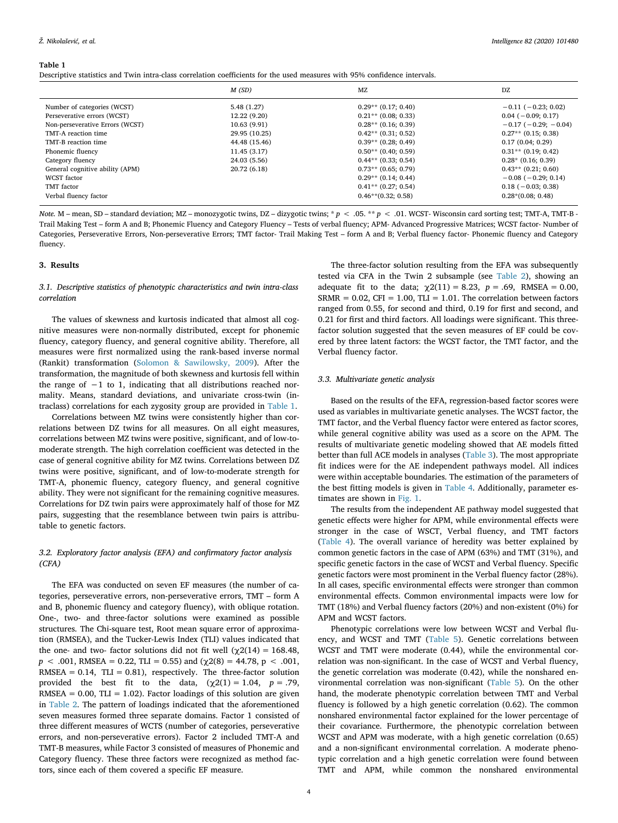#### Table 1

Descriptive statistics and Twin intra-class correlation coefficients for the used measures with 95% confidence intervals.

|                                 | M(SD)         | MZ                    | DZ                        |
|---------------------------------|---------------|-----------------------|---------------------------|
| Number of categories (WCST)     | 5.48(1.27)    | $0.29**$ (0.17; 0.40) | $-0.11$ ( $-0.23$ ; 0.02) |
| Perseverative errors (WCST)     | 12.22 (9.20)  | $0.21**$ (0.08; 0.33) | $0.04$ ( $-0.09; 0.17$ )  |
| Non-perseverative Errors (WCST) | 10.63(9.91)   | $0.28**$ (0.16; 0.39) | $-0.17(-0.29; -0.04)$     |
| TMT-A reaction time             | 29.95 (10.25) | $0.42**$ (0.31; 0.52) | $0.27**$ (0.15; 0.38)     |
| TMT-B reaction time             | 44.48 (15.46) | $0.39**$ (0.28: 0.49) | 0.17(0.04; 0.29)          |
| Phonemic fluency                | 11.45(3.17)   | $0.50**$ (0.40; 0.59) | $0.31**$ (0.19; 0.42)     |
| Category fluency                | 24.03 (5.56)  | $0.44**$ (0.33: 0.54) | $0.28*$ (0.16: 0.39)      |
| General cognitive ability (APM) | 20.72 (6.18)  | $0.73**$ (0.65; 0.79) | $0.43**$ (0.21; 0.60)     |
| <b>WCST</b> factor              |               | $0.29**$ (0.14; 0.44) | $-0.08$ ( $-0.29$ ; 0.14) |
| TMT factor                      |               | $0.41**$ (0.27; 0.54) | $0.18(-0.03; 0.38)$       |
| Verbal fluency factor           |               | $0.46**$ (0.32; 0.58) | $0.28*(0.08; 0.48)$       |

*Note.* M – mean, SD – standard deviation; MZ – monozygotic twins, DZ – dizygotic twins; \*  $p < .05$ . \*\*  $p < .01$ . WCST- Wisconsin card sorting test; TMT-A, TMT-B -Trail Making Test – form A and B; Phonemic Fluency and Category Fluency – Tests of verbal fluency; APM- Advanced Progressive Matrices; WCST factor- Number of Categories, Perseverative Errors, Non-perseverative Errors; TMT factor- Trail Making Test – form A and B; Verbal fluency factor- Phonemic fluency and Category fluency.

#### 3. Results

## *3.1. Descriptive statistics of phenotypic characteristics and twin intra-class correlation*

The values of skewness and kurtosis indicated that almost all cognitive measures were non-normally distributed, except for phonemic fluency, category fluency, and general cognitive ability. Therefore, all measures were first normalized using the rank-based inverse normal (Rankit) transformation (Solomon & Sawilowsky, 2009). After the transformation, the magnitude of both skewness and kurtosis fell within the range of −1 to 1, indicating that all distributions reached normality. Means, standard deviations, and univariate cross-twin (intraclass) correlations for each zygosity group are provided in Table 1.

Correlations between MZ twins were consistently higher than correlations between DZ twins for all measures. On all eight measures, correlations between MZ twins were positive, significant, and of low-tomoderate strength. The high correlation coefficient was detected in the case of general cognitive ability for MZ twins. Correlations between DZ twins were positive, significant, and of low-to-moderate strength for TMT-A, phonemic fluency, category fluency, and general cognitive ability. They were not significant for the remaining cognitive measures. Correlations for DZ twin pairs were approximately half of those for MZ pairs, suggesting that the resemblance between twin pairs is attributable to genetic factors.

# *3.2. Exploratory factor analysis (EFA) and con*fi*rmatory factor analysis (CFA)*

The EFA was conducted on seven EF measures (the number of categories, perseverative errors, non-perseverative errors, TMT – form A and B, phonemic fluency and category fluency), with oblique rotation. One-, two- and three-factor solutions were examined as possible structures. The Chi-square test, Root mean square error of approximation (RMSEA), and the Tucker-Lewis Index (TLI) values indicated that the one- and two- factor solutions did not fit well ( $χ2(14) = 168.48$ ,  $p < .001$ , RMSEA = 0.22, TLI = 0.55) and ( $\chi$ 2(8) = 44.78, p < .001,  $RMSEA = 0.14$ ,  $TLI = 0.81$ ), respectively. The three-factor solution provided the best fit to the data,  $(\chi 2(1) = 1.04, p = .79)$ , RMSEA =  $0.00$ , TLI = 1.02). Factor loadings of this solution are given in Table 2. The pattern of loadings indicated that the aforementioned seven measures formed three separate domains. Factor 1 consisted of three different measures of WCTS (number of categories, perseverative errors, and non-perseverative errors). Factor 2 included TMT-A and TMT-B measures, while Factor 3 consisted of measures of Phonemic and Category fluency. These three factors were recognized as method factors, since each of them covered a specific EF measure.

The three-factor solution resulting from the EFA was subsequently tested via CFA in the Twin 2 subsample (see Table 2), showing an adequate fit to the data;  $\chi(2(11) = 8.23, p = .69, RMSEA = 0.00,$  $SRMR = 0.02$ ,  $CFI = 1.00$ ,  $TLI = 1.01$ . The correlation between factors ranged from 0.55, for second and third, 0.19 for first and second, and 0.21 for first and third factors. All loadings were significant. This threefactor solution suggested that the seven measures of EF could be covered by three latent factors: the WCST factor, the TMT factor, and the Verbal fluency factor.

### *3.3. Multivariate genetic analysis*

Based on the results of the EFA, regression-based factor scores were used as variables in multivariate genetic analyses. The WCST factor, the TMT factor, and the Verbal fluency factor were entered as factor scores, while general cognitive ability was used as a score on the APM. The results of multivariate genetic modeling showed that AE models fitted better than full ACE models in analyses (Table 3). The most appropriate fit indices were for the AE independent pathways model. All indices were within acceptable boundaries. The estimation of the parameters of the best fitting models is given in Table 4. Additionally, parameter estimates are shown in Fig. 1.

The results from the independent AE pathway model suggested that genetic effects were higher for APM, while environmental effects were stronger in the case of WSCT, Verbal fluency, and TMT factors (Table 4). The overall variance of heredity was better explained by common genetic factors in the case of APM (63%) and TMT (31%), and specific genetic factors in the case of WCST and Verbal fluency. Specific genetic factors were most prominent in the Verbal fluency factor (28%). In all cases, specific environmental effects were stronger than common environmental effects. Common environmental impacts were low for TMT (18%) and Verbal fluency factors (20%) and non-existent (0%) for APM and WCST factors.

Phenotypic correlations were low between WCST and Verbal fluency, and WCST and TMT (Table 5). Genetic correlations between WCST and TMT were moderate (0.44), while the environmental correlation was non-significant. In the case of WCST and Verbal fluency, the genetic correlation was moderate (0.42), while the nonshared environmental correlation was non-significant (Table 5). On the other hand, the moderate phenotypic correlation between TMT and Verbal fluency is followed by a high genetic correlation (0.62). The common nonshared environmental factor explained for the lower percentage of their covariance. Furthermore, the phenotypic correlation between WCST and APM was moderate, with a high genetic correlation (0.65) and a non-significant environmental correlation. A moderate phenotypic correlation and a high genetic correlation were found between TMT and APM, while common the nonshared environmental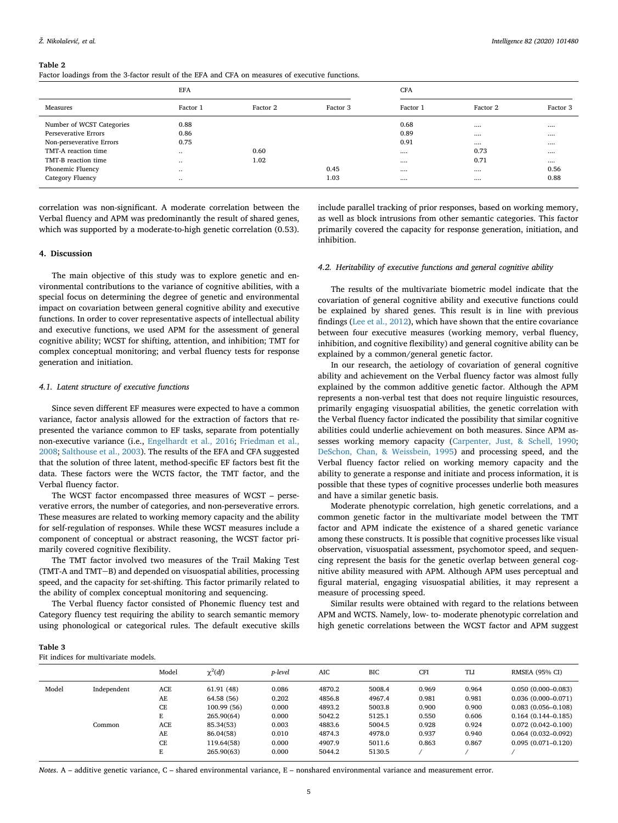#### Table 2

Factor loadings from the 3-factor result of the EFA and CFA on measures of executive functions.

|                           | <b>EFA</b> |          |          | <b>CFA</b> |          |          |
|---------------------------|------------|----------|----------|------------|----------|----------|
| Measures                  | Factor 1   | Factor 2 | Factor 3 | Factor 1   | Factor 2 | Factor 3 |
| Number of WCST Categories | 0.88       |          |          | 0.68       |          |          |
| Perseverative Errors      | 0.86       |          |          | 0.89       |          | $\cdots$ |
| Non-perseverative Errors  | 0.75       |          |          | 0.91       |          |          |
| TMT-A reaction time       | $\cdots$   | 0.60     |          |            | 0.73     | $\cdots$ |
| TMT-B reaction time       | $\cdots$   | 1.02     |          |            | 0.71     |          |
| Phonemic Fluency          | $\cdots$   |          | 0.45     |            |          | 0.56     |
| Category Fluency          | $\cdots$   |          | 1.03     |            |          | 0.88     |

correlation was non-significant. A moderate correlation between the Verbal fluency and APM was predominantly the result of shared genes, which was supported by a moderate-to-high genetic correlation (0.53).

#### 4. Discussion

The main objective of this study was to explore genetic and environmental contributions to the variance of cognitive abilities, with a special focus on determining the degree of genetic and environmental impact on covariation between general cognitive ability and executive functions. In order to cover representative aspects of intellectual ability and executive functions, we used APM for the assessment of general cognitive ability; WCST for shifting, attention, and inhibition; TMT for complex conceptual monitoring; and verbal fluency tests for response generation and initiation.

## *4.1. Latent structure of executive functions*

Since seven different EF measures were expected to have a common variance, factor analysis allowed for the extraction of factors that represented the variance common to EF tasks, separate from potentially non-executive variance (i.e., Engelhardt et al., 2016; Friedman et al., 2008; Salthouse et al., 2003). The results of the EFA and CFA suggested that the solution of three latent, method-specific EF factors best fit the data. These factors were the WCTS factor, the TMT factor, and the Verbal fluency factor.

The WCST factor encompassed three measures of WCST – perseverative errors, the number of categories, and non-perseverative errors. These measures are related to working memory capacity and the ability for self-regulation of responses. While these WCST measures include a component of conceptual or abstract reasoning, the WCST factor primarily covered cognitive flexibility.

The TMT factor involved two measures of the Trail Making Test (TMT-A and TMT-B) and depended on visuospatial abilities, processing speed, and the capacity for set-shifting. This factor primarily related to the ability of complex conceptual monitoring and sequencing.

The Verbal fluency factor consisted of Phonemic fluency test and Category fluency test requiring the ability to search semantic memory using phonological or categorical rules. The default executive skills

include parallel tracking of prior responses, based on working memory, as well as block intrusions from other semantic categories. This factor primarily covered the capacity for response generation, initiation, and inhibition.

# *4.2. Heritability of executive functions and general cognitive ability*

The results of the multivariate biometric model indicate that the covariation of general cognitive ability and executive functions could be explained by shared genes. This result is in line with previous findings (Lee et al., 2012), which have shown that the entire covariance between four executive measures (working memory, verbal fluency, inhibition, and cognitive flexibility) and general cognitive ability can be explained by a common/general genetic factor.

In our research, the aetiology of covariation of general cognitive ability and achievement on the Verbal fluency factor was almost fully explained by the common additive genetic factor. Although the APM represents a non-verbal test that does not require linguistic resources, primarily engaging visuospatial abilities, the genetic correlation with the Verbal fluency factor indicated the possibility that similar cognitive abilities could underlie achievement on both measures. Since APM assesses working memory capacity (Carpenter, Just, & Schell, 1990; DeSchon, Chan, & Weissbein, 1995) and processing speed, and the Verbal fluency factor relied on working memory capacity and the ability to generate a response and initiate and process information, it is possible that these types of cognitive processes underlie both measures and have a similar genetic basis.

Moderate phenotypic correlation, high genetic correlations, and a common genetic factor in the multivariate model between the TMT factor and APM indicate the existence of a shared genetic variance among these constructs. It is possible that cognitive processes like visual observation, visuospatial assessment, psychomotor speed, and sequencing represent the basis for the genetic overlap between general cognitive ability measured with APM. Although APM uses perceptual and figural material, engaging visuospatial abilities, it may represent a measure of processing speed.

Similar results were obtained with regard to the relations between APM and WCTS. Namely, low- to- moderate phenotypic correlation and high genetic correlations between the WCST factor and APM suggest

| п<br>н |  |
|--------|--|
|--------|--|

Fit indices for multivariate models.

|       |             | Model     | $\chi^2(df)$ | p-level | AIC    | <b>BIC</b> | <b>CFI</b> | TLI   | RMSEA (95% CI)         |
|-------|-------------|-----------|--------------|---------|--------|------------|------------|-------|------------------------|
| Model | Independent | ACE       | 61.91(48)    | 0.086   | 4870.2 | 5008.4     | 0.969      | 0.964 | $0.050(0.000 - 0.083)$ |
|       |             | AE        | 64.58 (56)   | 0.202   | 4856.8 | 4967.4     | 0.981      | 0.981 | $0.036(0.000 - 0.071)$ |
|       |             | <b>CE</b> | 100.99 (56)  | 0.000   | 4893.2 | 5003.8     | 0.900      | 0.900 | $0.083(0.056 - 0.108)$ |
|       |             | E.        | 265.90(64)   | 0.000   | 5042.2 | 5125.1     | 0.550      | 0.606 | $0.164(0.144 - 0.185)$ |
|       | Common      | ACE       | 85.34(53)    | 0.003   | 4883.6 | 5004.5     | 0.928      | 0.924 | $0.072(0.042 - 0.100)$ |
|       |             | AE        | 86.04(58)    | 0.010   | 4874.3 | 4978.0     | 0.937      | 0.940 | $0.064(0.032 - 0.092)$ |
|       |             | <b>CE</b> | 119.64(58)   | 0.000   | 4907.9 | 5011.6     | 0.863      | 0.867 | $0.095(0.071 - 0.120)$ |
|       |             | E         | 265.90(63)   | 0.000   | 5044.2 | 5130.5     |            |       |                        |

*Notes*. A – additive genetic variance, C – shared environmental variance, E – nonshared environmental variance and measurement error.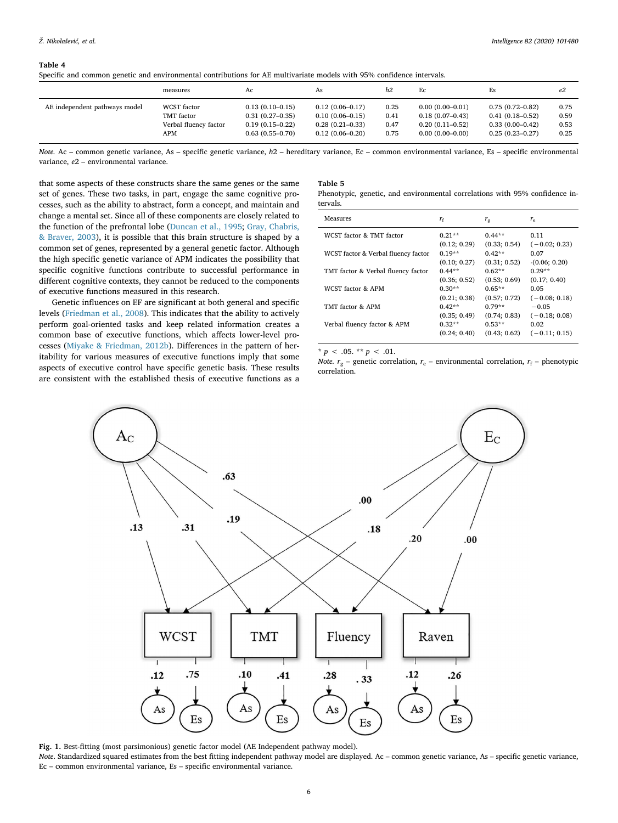#### Table 4

Specific and common genetic and environmental contributions for AE multivariate models with 95% confidence intervals.

|                               | measures              | Ac                  | As                  | h2   | Еc                | Εs                  | e2   |
|-------------------------------|-----------------------|---------------------|---------------------|------|-------------------|---------------------|------|
| AE independent pathways model | WCST factor           | $0.13(0.10-0.15)$   | $0.12(0.06 - 0.17)$ | 0.25 | $0.00(0.00-0.01)$ | $0.75(0.72 - 0.82)$ | 0.75 |
|                               | TMT factor            | $0.31(0.27-0.35)$   | $0.10(0.06 - 0.15)$ | 0.41 | $0.18(0.07-0.43)$ | $0.41(0.18 - 0.52)$ | 0.59 |
|                               | Verbal fluency factor | $0.19(0.15 - 0.22)$ | $0.28(0.21 - 0.33)$ | 0.47 | $0.20(0.11-0.52)$ | $0.33(0.00 - 0.42)$ | 0.53 |
|                               | APM                   | $0.63(0.55-0.70)$   | $0.12(0.06 - 0.20)$ | 0.75 | $0.00(0.00-0.00)$ | $0.25(0.23 - 0.27)$ | 0.25 |

*Note.* Ac – common genetic variance, As – specific genetic variance, *h*2 – hereditary variance, Ec – common environmental variance, Es – specific environmental variance, *e*2 – environmental variance.

that some aspects of these constructs share the same genes or the same set of genes. These two tasks, in part, engage the same cognitive processes, such as the ability to abstract, form a concept, and maintain and change a mental set. Since all of these components are closely related to the function of the prefrontal lobe (Duncan et al., 1995; Gray, Chabris, & Braver, 2003), it is possible that this brain structure is shaped by a common set of genes, represented by a general genetic factor. Although the high specific genetic variance of APM indicates the possibility that specific cognitive functions contribute to successful performance in different cognitive contexts, they cannot be reduced to the components of executive functions measured in this research.

Genetic influences on EF are significant at both general and specific levels (Friedman et al., 2008). This indicates that the ability to actively perform goal-oriented tasks and keep related information creates a common base of executive functions, which affects lower-level processes (Miyake & Friedman, 2012b). Differences in the pattern of heritability for various measures of executive functions imply that some aspects of executive control have specific genetic basis. These results are consistent with the established thesis of executive functions as a

#### Table 5

Phenotypic, genetic, and environmental correlations with 95% confidence intervals.

| Measures                            | $r_{\rm f}$  | $r_{\rm g}$  | $r_{\rm e}$     |
|-------------------------------------|--------------|--------------|-----------------|
| WCST factor & TMT factor            | $0.21**$     | $0.44**$     | 0.11            |
|                                     | (0.12; 0.29) | (0.33; 0.54) | $(-0.02; 0.23)$ |
| WCST factor & Verbal fluency factor | $0.19**$     | $0.42**$     | 0.07            |
|                                     | (0.10; 0.27) | (0.31; 0.52) | $-(0.06; 0.20)$ |
| TMT factor & Verbal fluency factor  | $0.44**$     | $0.62**$     | $0.29**$        |
|                                     | (0.36; 0.52) | (0.53; 0.69) | (0.17; 0.40)    |
| WCST factor & APM                   | $0.30**$     | $0.65**$     | 0.05            |
|                                     | (0.21; 0.38) | (0.57; 0.72) | $(-0.08; 0.18)$ |
| TMT factor & APM                    | $0.42**$     | $0.79**$     | $-0.05$         |
|                                     | (0.35; 0.49) | (0.74; 0.83) | $(-0.18; 0.08)$ |
| Verbal fluency factor & APM         | $0.32**$     | $0.53**$     | 0.02            |
|                                     | (0.24: 0.40) | (0.43; 0.62) | $(-0.11; 0.15)$ |
|                                     |              |              |                 |

 $* p < .05. ** p < .01.$ 

*Note.*  $r_g$  – genetic correlation,  $r_e$  – environmental correlation,  $r_f$  – phenotypic correlation.



Fig. 1. Best-fitting (most parsimonious) genetic factor model (AE Independent pathway model).

*Note*. Standardized squared estimates from the best fitting independent pathway model are displayed. Ac – common genetic variance, As – specific genetic variance, Ec – common environmental variance, Es – specific environmental variance.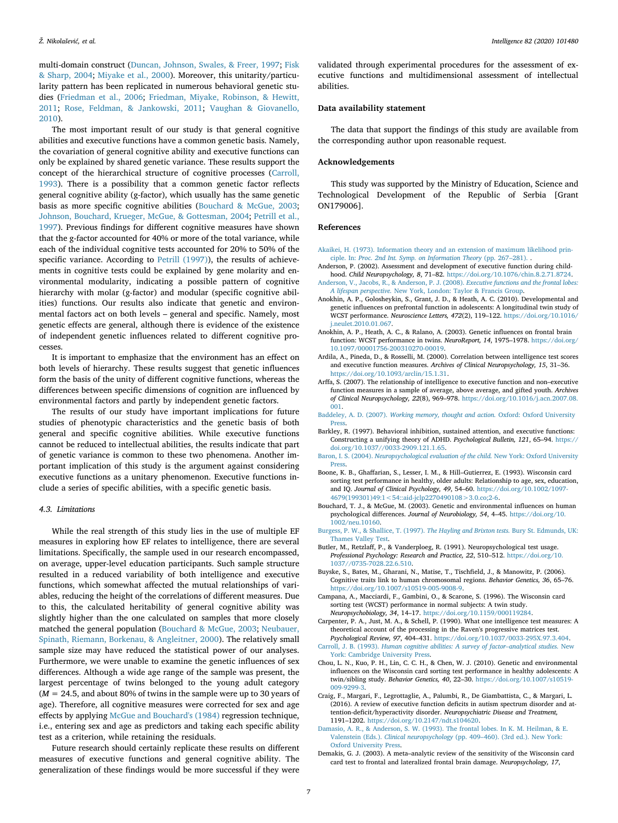multi-domain construct (Duncan, Johnson, Swales, & Freer, 1997; Fisk & Sharp, 2004; Miyake et al., 2000). Moreover, this unitarity/particularity pattern has been replicated in numerous behavioral genetic studies (Friedman et al., 2006; Friedman, Miyake, Robinson, & Hewitt, 2011; Rose, Feldman, & Jankowski, 2011; Vaughan & Giovanello, 2010).

The most important result of our study is that general cognitive abilities and executive functions have a common genetic basis. Namely, the covariation of general cognitive ability and executive functions can only be explained by shared genetic variance. These results support the concept of the hierarchical structure of cognitive processes (Carroll, 1993). There is a possibility that a common genetic factor reflects general cognitive ability (g-factor), which usually has the same genetic basis as more specific cognitive abilities (Bouchard & McGue, 2003; Johnson, Bouchard, Krueger, McGue, & Gottesman, 2004; Petrill et al., 1997). Previous findings for different cognitive measures have shown that the g-factor accounted for 40% or more of the total variance, while each of the individual cognitive tests accounted for 20% to 50% of the specific variance. According to Petrill (1997)), the results of achievements in cognitive tests could be explained by gene molarity and environmental modularity, indicating a possible pattern of cognitive hierarchy with molar (g-factor) and modular (specific cognitive abilities) functions. Our results also indicate that genetic and environmental factors act on both levels – general and specific. Namely, most genetic effects are general, although there is evidence of the existence of independent genetic influences related to different cognitive processes.

It is important to emphasize that the environment has an effect on both levels of hierarchy. These results suggest that genetic influences form the basis of the unity of different cognitive functions, whereas the differences between specific dimensions of cognition are influenced by environmental factors and partly by independent genetic factors.

The results of our study have important implications for future studies of phenotypic characteristics and the genetic basis of both general and specific cognitive abilities. While executive functions cannot be reduced to intellectual abilities, the results indicate that part of genetic variance is common to these two phenomena. Another important implication of this study is the argument against considering executive functions as a unitary phenomenon. Executive functions include a series of specific abilities, with a specific genetic basis.

#### *4.3. Limitations*

While the real strength of this study lies in the use of multiple EF measures in exploring how EF relates to intelligence, there are several limitations. Specifically, the sample used in our research encompassed, on average, upper-level education participants. Such sample structure resulted in a reduced variability of both intelligence and executive functions, which somewhat affected the mutual relationships of variables, reducing the height of the correlations of different measures. Due to this, the calculated heritability of general cognitive ability was slightly higher than the one calculated on samples that more closely matched the general population (Bouchard & McGue, 2003; Neubauer, Spinath, Riemann, Borkenau, & Angleitner, 2000). The relatively small sample size may have reduced the statistical power of our analyses. Furthermore, we were unable to examine the genetic influences of sex differences. Although a wide age range of the sample was present, the largest percentage of twins belonged to the young adult category  $(M = 24.5,$  and about 80% of twins in the sample were up to 30 years of age). Therefore, all cognitive measures were corrected for sex and age effects by applying McGue and Bouchard's (1984) regression technique, i.e., entering sex and age as predictors and taking each specific ability test as a criterion, while retaining the residuals.

Future research should certainly replicate these results on different measures of executive functions and general cognitive ability. The generalization of these findings would be more successful if they were

validated through experimental procedures for the assessment of executive functions and multidimensional assessment of intellectual abilities.

#### Data availability statement

The data that support the findings of this study are available from the corresponding author upon reasonable request.

# Acknowledgements

This study was supported by the Ministry of Education, Science and Technological Development of the Republic of Serbia [Grant ON179006].

## References

- Akaikei, H. (1973). Information theory and an extension of maximum likelihood principle. In: *Proc. 2nd Int. Symp. on Information Theory* (pp. 267–281). .
- Anderson, P. (2002). Assessment and development of executive function during childhood. *Child Neuropsychology, 8*, 71–82. https://doi.org/10.1076/chin.8.2.71.8724.
- Anderson, V., Jacobs, R., & Anderson, P. J. (2008). *Executive functions and the frontal lobes: A lifespan perspective.* New York, London: Taylor & Francis Group.
- Anokhin, A. P., Golosheykin, S., Grant, J. D., & Heath, A. C. (2010). Developmental and genetic influences on prefrontal function in adolescents: A longitudinal twin study of WCST performance. *Neuroscience Letters, 472*(2), 119–122. https://doi.org/10.1016/ j.neulet.2010.01.067.
- Anokhin, A. P., Heath, A. C., & Ralano, A. (2003). Genetic influences on frontal brain function: WCST performance in twins. *NeuroReport, 14*, 1975–1978. https://doi.org/ 10.1097/00001756-200310270-00019.
- Ardila, A., Pineda, D., & Rosselli, M. (2000). Correlation between intelligence test scores and executive function measures. *Archives of Clinical Neuropsychology, 15*, 31–36. https://doi.org/10.1093/arclin/15.1.31.
- Arffa, S. (2007). The relationship of intelligence to executive function and non–executive function measures in a sample of average, above average, and gifted youth. *Archives of Clinical Neuropsychology, 22*(8), 969–978. https://doi.org/10.1016/j.acn.2007.08. 001.
- Baddeley, A. D. (2007). *Working memory, thought and action.* Oxford: Oxford University Press.
- Barkley, R. (1997). Behavioral inhibition, sustained attention, and executive functions: Constructing a unifying theory of ADHD. *Psychological Bulletin, 121*, 65–94. https:// doi.org/10.1037//0033-2909.121.1.65.
- Baron, I. S. (2004). *Neuropsychological evaluation of the child.* New York: Oxford University Press.
- Boone, K. B., Ghaffarian, S., Lesser, I. M., & Hill–Gutierrez, E. (1993). Wisconsin card sorting test performance in healthy, older adults: Relationship to age, sex, education, and IQ. *Journal of Clinical Psychology, 49*, 54–60. https://doi.org/10.1002/1097- 4679(199301)49:1<54::aid-jclp2270490108>3.0.co;2-6.
- Bouchard, T. J., & McGue, M. (2003). Genetic and environmental influences on human psychological differences. *Journal of Neurobiology, 54*, 4–45. https://doi.org/10. 1002/neu.10160.
- Burgess, P. W., & Shallice, T. (1997). *The Hayling and Brixton tests.* Bury St. Edmunds, UK: Thames Valley Test.
- Butler, M., Retzlaff, P., & Vanderploeg, R. (1991). Neuropsychological test usage. *Professional Psychology: Research and Practice, 22*, 510–512. https://doi.org/10. 1037//0735-7028.22.6.510.
- Buyske, S., Bates, M., Gharani, N., Matise, T., Tischfield, J., & Manowitz, P. (2006). Cognitive traits link to human chromosomal regions. *Behavior Genetics, 36*, 65–76. https://doi.org/10.1007/s10519-005-9008-9.
- Campana, A., Macciardi, F., Gambini, O., & Scarone, S. (1996). The Wisconsin card sorting test (WCST) performance in normal subjects: A twin study. *Neuropsychobiology, 34*, 14–17. https://doi.org/10.1159/000119284.
- Carpenter, P. A., Just, M. A., & Schell, P. (1990). What one intelligence test measures: A theoretical account of the processing in the Raven's progressive matrices test. *Psychological Review, 97*, 404–431. https://doi.org/10.1037/0033-295X.97.3.404.
- Carroll, J. B. (1993). *Human cognitive abilities: A survey of factor*–*analytical studies.* New York: Cambridge University Press.
- Chou, L. N., Kuo, P. H., Lin, C. C. H., & Chen, W. J. (2010). Genetic and environmental influences on the Wisconsin card sorting test performance in healthy adolescents: A twin/sibling study. *Behavior Genetics, 40*, 22–30. https://doi.org/10.1007/s10519- 009-9299-3.
- Craig, F., Margari, F., Legrottaglie, A., Palumbi, R., De Giambattista, C., & Margari, L. (2016). A review of executive function deficits in autism spectrum disorder and attention-deficit/hyperactivity disorder. *Neuropsychiatric Disease and Treatment,* 1191–1202. https://doi.org/10.2147/ndt.s104620.
- Damasio, A. R., & Anderson, S. W. (1993). The frontal lobes. In K. M. Heilman, & E. Valenstein (Eds.). *Clinical neuropsychology* (pp. 409–460). (3rd ed.). New York: Oxford University Press.
- Demakis, G. J. (2003). A meta–analytic review of the sensitivity of the Wisconsin card card test to frontal and lateralized frontal brain damage. *Neuropsychology, 17*,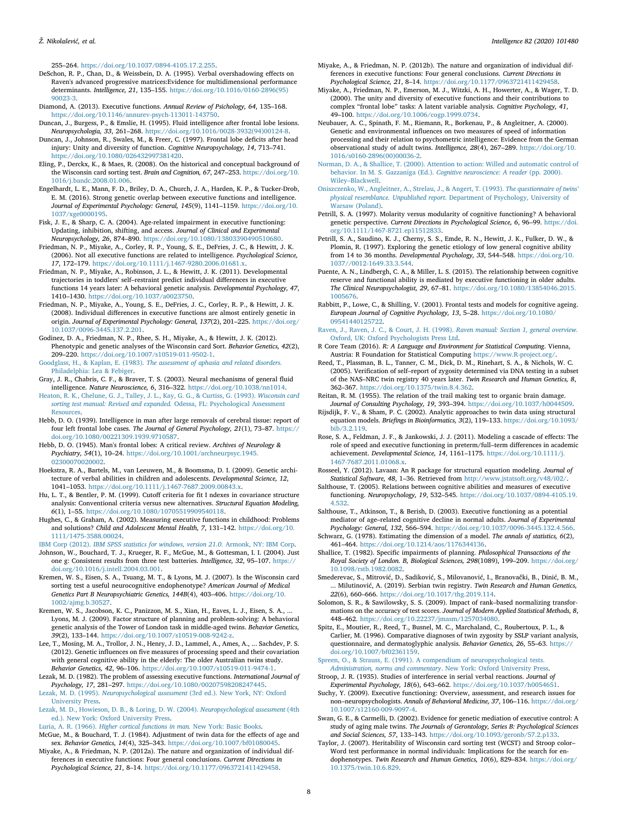Ž*. Nikola*š*evi*ć*, et al. Intelligence 82 (2020) 101480*

255–264. https://doi.org/10.1037/0894-4105.17.2.255.

- DeSchon, R. P., Chan, D., & Weissbein, D. A. (1995). Verbal overshadowing effects on Raven's advanced progressive matrices:Evidence for multidimensional performance determinants. *Intelligence, 21*, 135–155. https://doi.org/10.1016/0160-2896(95) 90023-3.
- Diamond, A. (2013). Executive functions. *Annual Review of Psichology, 64*, 135–168. https://doi.org/10.1146/annurev-psych-113011-143750.
- Duncan, J., Burgess, P., & Emslie, H. (1995). Fluid intelligence after frontal lobe lesions. *Neuropsychologia, 33*, 261–268. https://doi.org/10.1016/0028-3932(94)00124-8.
- Duncan, J., Johnson, R., Swales, M., & Freer, C. (1997). Frontal lobe deficits after head injury: Unity and diversity of function. *Cognitive Neuropsychology, 14*, 713–741. https://doi.org/10.1080/026432997381420.
- Eling, P., Derckx, K., & Maes, R. (2008). On the historical and conceptual background of the Wisconsin card sorting test. *Brain and Cognition, 67*, 247–253. https://doi.org/10. 1016/j.bandc.2008.01.006.
- Engelhardt, L. E., Mann, F. D., Briley, D. A., Church, J. A., Harden, K. P., & Tucker-Drob, E. M. (2016). Strong genetic overlap between executive functions and intelligence. *Journal of Experimental Psychology: General, 145*(9), 1141–1159. https://doi.org/10. 1037/xge0000195.
- Fisk, J. E., & Sharp, C. A. (2004). Age-related impairment in executive functioning: Updating, inhibition, shifting, and access. *Journal of Clinical and Experimental Neuropsychology, 26*, 874–890. https://doi.org/10.1080/13803390490510680.
- Friedman, N. P., Miyake, A., Corley, R. P., Young, S. E., DeFries, J. C., & Hewitt, J. K. (2006). Not all executive functions are related to intelligence. *Psychological Science, 17*, 172–179. https://doi.org/10.1111/j.1467-9280.2006.01681.x.
- Friedman, N. P., Miyake, A., Robinson, J. L., & Hewitt, J. K. (2011). Developmental trajectories in toddlers' self–restraint predict individual differences in executive functions 14 years later: A behavioral genetic analysis. *Developmental Psychology, 47*, 1410–1430. https://doi.org/10.1037/a0023750.
- Friedman, N. P., Miyake, A., Young, S. E., DeFries, J. C., Corley, R. P., & Hewitt, J. K. (2008). Individual differences in executive functions are almost entirely genetic in origin. *Journal of Experimental Psychology: General, 137*(2), 201–225. https://doi.org/ 10.1037/0096-3445.137.2.201.
- Godinez, D. A., Friedman, N. P., Rhee, S. H., Miyake, A., & Hewitt, J. K. (2012). Phenotypic and genetic analyses of the Wisconsin card Sort. *Behavior Genetics, 42*(2), 209–220. https://doi.org/10.1007/s10519-011-9502-1.
- Goodglass, H., & Kaplan, E. (1983). *The assessment of aphasia and related disorders.* Philadelphia: Lea & Febiger.
- Gray, J. R., Chabris, C. F., & Braver, T. S. (2003). Neural mechanisms of general fluid intelligence. *Nature Neuroscience, 6*, 316–322. https://doi.org/10.1038/nn1014.
- Heaton, R. K., Chelune, G. J., Talley, J. L., Kay, G. G., & Curtiss, G. (1993). *Wisconsin card sorting test manual: Revised and expanded.* Odessa, FL: Psychological Assessment **Resources**
- Hebb, D. O. (1939). Intelligence in man after large removals of cerebral tissue: report of four left frontal lobe cases. *The Journal of General Psychology, 21*(1), 73–87. https:// doi.org/10.1080/00221309.1939.9710587.
- Hebb, D. O. (1945). Man's frontal lobes: A critical review. *Archives of Neurology & Psychiatry, 54*(1), 10–24. https://doi.org/10.1001/archneurpsyc.1945. 02300070020002.
- Hoekstra, R. A., Bartels, M., van Leeuwen, M., & Boomsma, D. I. (2009). Genetic architecture of verbal abilities in children and adolescents. *Developmental Science, 12*, 1041–1053. https://doi.org/10.1111/j.1467-7687.2009.00843.x.
- Hu, L. T., & Bentler, P. M. (1999). Cutoff criteria for fit I ndexes in covariance structure analysis: Conventional criteria versus new alternatives. *Structural Equation Modeling, 6*(1), 1–55. https://doi.org/10.1080/10705519909540118.
- Hughes, C., & Graham, A. (2002). Measuring executive functions in childhood: Problems and solutions? *Child and Adolescent Mental Health, 7*, 131–142. https://doi.org/10. 1111/1475-3588.00024.
- IBM Corp (2012). *IBM SPSS statistics for windows, version 21.0.* Armonk, NY: IBM Corp.
- Johnson, W., Bouchard, T. J., Krueger, R. F., McGue, M., & Gottesman, I. I. (2004). Just one g: Consistent results from three test batteries. *Intelligence, 32*, 95–107. https:// doi.org/10.1016/j.intell.2004.03.001.
- Kremen, W. S., Eisen, S. A., Tsuang, M. T., & Lyons, M. J. (2007). Is the Wisconsin card sorting test a useful neurocognitive endophenotype? *American Journal of Medical Genetics Part B Neuropsychiatric Genetics, 144B*(4), 403–406. https://doi.org/10. 1002/ajmg.b.30527.
- Kremen, W. S., Jacobson, K. C., Panizzon, M. S., Xian, H., Eaves, L. J., Eisen, S. A., Lyons, M. J. (2009). Factor structure of planning and problem-solving: A behavioral genetic analysis of the Tower of London task in middle-aged twins. *Behavior Genetics, 39*(2), 133–144. https://doi.org/10.1007/s10519-008-9242-z.
- Lee, T., Mosing, M. A., Trollor, J. N., Henry, J. D., Lammel, A., Ames, A., ... Sachdev, P. S. (2012). Genetic influences on five measures of processing speed and their covariation with general cognitive ability in the elderly: The older Australian twins study. *Behavior Genetics, 42*, 96–106. https://doi.org/10.1007/s10519-011-9474-1.
- Lezak, M. D. (1982). The problem of assessing executive functions. *International Journal of Psychology, 17*, 281–297. https://doi.org/10.1080/00207598208247445.
- Lezak, M. D. (1995). *Neuropsychological assessment* (3rd ed.). New York, NY: Oxford University Press.
- Lezak, M. D., Howieson, D. B., & Loring, D. W. (2004). *Neuropsychological assessment* (4th ed.). New York: Oxford University Press.
- Luria, A. R. (1966). *Higher cortical functions in man.* New York: Basic Books. McGue, M., & Bouchard, T. J. (1984). Adjustment of twin data for the effects of age and
- sex. *Behavior Genetics, 14*(4), 325–343. https://doi.org/10.1007/bf01080045. Miyake, A., & Friedman, N. P. (2012a). The nature and organization of individual dif-
- ferences in executive functions: Four general conclusions. *Current Directions in Psychological Science, 21*, 8–14. https://doi.org/10.1177/0963721411429458.
- Miyake, A., & Friedman, N. P. (2012b). The nature and organization of individual differences in executive functions: Four general conclusions. *Current Directions in Psychological Science, 21*, 8–14. https://doi.org/10.1177/0963721411429458.
- Miyake, A., Friedman, N. P., Emerson, M. J., Witzki, A. H., Howerter, A., & Wager, T. D. (2000). The unity and diversity of executive functions and their contributions to complex "frontal lobe" tasks: A latent variable analysis. *Cognitive Psychology, 41*, 49–100. https://doi.org/10.1006/cogp.1999.0734.
- Neubauer, A. C., Spinath, F. M., Riemann, R., Borkenau, P., & Angleitner, A. (2000). Genetic and environmental influences on two measures of speed of information processing and their relation to psychometric intelligence: Evidence from the German observational study of adult twins. *Intelligence, 28*(4), 267–289. https://doi.org/10. 1016/s0160-2896(00)00036-2.
- Norman, D. A., & Shallice, T. (2000). Attention to action: Willed and automatic control of behavior. In M. S. Gazzaniga (Ed.). *Cognitive neuroscience: A reader* (pp. 2000). Wiley–Blackwell.
- Oniszczenko, W., Angleitner, A., Strelau, J., & Angert, T. (1993). *The questionnaire of twins' physical resemblance. Unpublished report*. Department of Psychology, University of Warsaw (Poland).
- Petrill, S. A. (1997). Molarity versus modularity of cognitive functioning? A behavioral genetic perspective. *Current Directions in Psychological Science, 6*, 96–99. https://doi. org/10.1111/1467-8721.ep11512833.
- Petrill, S. A., Saudino, K. J., Cherny, S. S., Emde, R. N., Hewitt, J. K., Fulker, D. W., & Plomin, R. (1997). Exploring the genetic etiology of low general cognitive ability from 14 to 36 months. *Developmental Psychology, 33*, 544–548. https://doi.org/10. 1037//0012-1649.33.3.544.
- Puente, A. N., Lindbergh, C. A., & Miller, L. S. (2015). The relationship between cognitive reserve and functional ability is mediated by executive functioning in older adults. *The Clinical Neuropsychologist, 29*, 67–81. https://doi.org/10.1080/13854046.2015. 1005676.
- Rabbitt, P., Lowe, C., & Shilling, V. (2001). Frontal tests and models for cognitive ageing. *European Journal of Cognitive Psychology, 13*, 5–28. https://doi.org/10.1080/ 09541440125722.
- Raven, J., Raven, J. C., & Court, J. H. (1998). *Raven manual: Section 1, general overview.* Oxford, UK: Oxford Psychologists Press Ltd.
- R Core Team (2016). *R: A Language and Environment for Statistical Computing*. Vienna, Austria: R Foundation for Statistical Computing https://www.R-project.org/.
- Reed, T., Plassman, B. L., Tanner, C. M., Dick, D. M., Rinehart, S. A., & Nichols, W. C. (2005). Verification of self–report of zygosity determined via DNA testing in a subset of the NAS–NRC twin registry 40 years later. *Twin Research and Human Genetics, 8*, 362–367. https://doi.org/10.1375/twin.8.4.362.
- Reitan, R. M. (1955). The relation of the trail making test to organic brain damage. *Journal of Consulting Psychology, 19*, 393–394. https://doi.org/10.1037/h0044509.
- Rijsdijk, F. V., & Sham, P. C. (2002). Analytic approaches to twin data using structural equation models. *Brie*fi*ngs in Bioinformatics, 3*(2), 119–133. https://doi.org/10.1093/ bib/3.2.119.
- Rose, S. A., Feldman, J. F., & Jankowski, J. J. (2011). Modeling a cascade of effects: The role of speed and executive functioning in preterm/full–term differences in academic achievement. *Developmental Science, 14*, 1161–1175. https://doi.org/10.1111/j. 1467-7687.2011.01068.x.
- Rosseel, Y. (2012). Lavaan: An R package for structural equation modeling. *Journal of Statistical Software, 48*, 1–36. Retrieved from http://www.jstatsoft.org/v48/i02/.
- Salthouse, T. (2005). Relations between cognitive abilities and measures of executive functioning. *Neuropsychology, 19*, 532–545. https://doi.org/10.1037/0894-4105.19. 4.532.
- Salthouse, T., Atkinson, T., & Berish, D. (2003). Executive functioning as a potential mediator of age–related cognitive decline in normal adults. *Journal of Experimental Psychology: General, 132*, 566–594. https://doi.org/10.1037/0096-3445.132.4.566.
- Schwarz, G. (1978). Estimating the dimension of a model. *The annals of statistics, 6*(2), 461–464. https://doi.org/10.1214/aos/1176344136.
- Shallice, T. (1982). Specific impairments of planning. *Philosophical Transactions of the Royal Society of London. B, Biological Sciences, 298*(1089), 199–209. https://doi.org/ 10.1098/rstb.1982.0082.
- Smederevac, S., Mitrović, D., Sadiković, S., Milovanović, I., Branovački, B., Dinić, B. M., ... Milutinović, A. (2019). Serbian twin registry. *Twin Research and Human Genetics, 22*(6), 660–666. https://doi.org/10.1017/thg.2019.114.
- Solomon, S. R., & Sawilowsky, S. S. (2009). Impact of rank–based normalizing transformations on the accuracy of test scores. *Journal of Modern Applied Statistical Methods, 8*, 448–462. https://doi.org/10.22237/jmasm/1257034080.
- Spitz, E., Moutier, R., Reed, T., Busnel, M. C., Marchaland, C., Roubertoux, P. L., & Carlier, M. (1996). Comparative diagnoses of twin zygosity by SSLP variant analysis, questionnaire, and dermatoglyphic analysis. *Behavior Genetics, 26*, 55–63. https:// doi.org/10.1007/bf02361159.
- Spreen, O., & Strauss, E. (1991). A compendium of neuropsychological tests. *Administration, norms and commentary*. New York: Oxford University Press.
- Stroop, J. R. (1935). Studies of interference in serial verbal reactions. *Journal of Experimental Psychology, 18*(6), 643–662. https://doi.org/10.1037/h0054651.
- Suchy, Y. (2009). Executive functioning: Overview, assessment, and research issues for non–neuropsychologists. *Annals of Behavioral Medicine, 37*, 106–116. https://doi.org/ 10.1007/s12160-009-9097-4.
- Swan, G. E., & Carmelli, D. (2002). Evidence for genetic mediation of executive control: A study of aging male twins. *The Journals of Gerontology, Series B: Psychological Sciences and Social Sciences, 57*, 133–143. https://doi.org/10.1093/geronb/57.2.p133.
- Taylor, J. (2007). Heritability of Wisconsin card sorting test (WCST) and Stroop color– Word test performance in normal individuals: Implications for the search for endophenotypes. *Twin Research and Human Genetics, 10*(6), 829–834. https://doi.org/ 10.1375/twin.10.6.829.